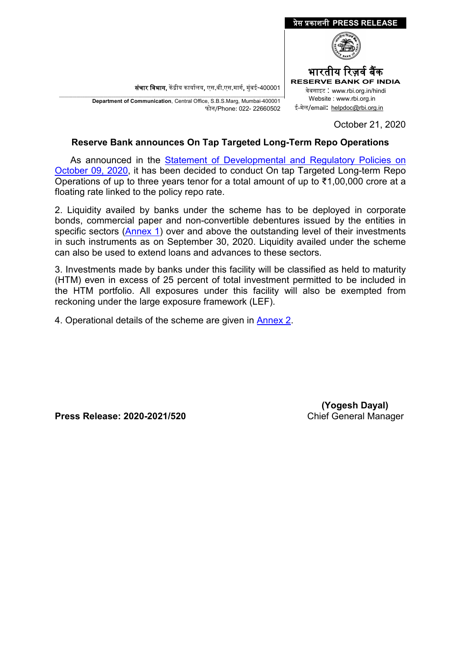संचार विभाग, केंद्रीय कार्यालय, एस.बी.एस.मार्ग, मुंबई-400001

\_\_\_\_\_\_\_\_\_\_\_\_\_\_\_\_\_\_\_\_\_\_\_\_\_\_\_\_\_\_\_\_\_\_\_\_\_\_\_\_\_\_\_\_\_\_\_\_\_\_\_\_\_\_\_\_\_\_\_\_\_\_\_\_\_\_\_\_\_\_\_\_\_\_\_\_\_\_\_\_\_\_\_\_\_\_\_\_\_\_\_\_\_\_\_\_\_\_\_\_\_\_\_\_\_\_\_\_\_\_\_\_\_\_\_\_\_ **Department of Communication**, Central Office, S.B.S.Marg, Mumbai-400001 फोन/Phone: 022- 22660502



October 21, 2020

#### **Reserve Bank announces On Tap Targeted Long-Term Repo Operations**

 As announced in the [Statement of Developmental and Regulatory Policies on](https://www.rbi.org.in/Scripts/BS_PressReleaseDisplay.aspx?prid=50480)  [October 09, 2020,](https://www.rbi.org.in/Scripts/BS_PressReleaseDisplay.aspx?prid=50480) it has been decided to conduct On tap Targeted Long-term Repo Operations of up to three years tenor for a total amount of up to ₹1,00,000 crore at a floating rate linked to the policy repo rate.

2. Liquidity availed by banks under the scheme has to be deployed in corporate bonds, commercial paper and non-convertible debentures issued by the entities in specific sectors [\(Annex 1\)](#page-1-0) over and above the outstanding level of their investments in such instruments as on September 30, 2020. Liquidity availed under the scheme can also be used to extend loans and advances to these sectors.

3. Investments made by banks under this facility will be classified as held to maturity (HTM) even in excess of 25 percent of total investment permitted to be included in the HTM portfolio. All exposures under this facility will also be exempted from reckoning under the large exposure framework (LEF).

4. Operational details of the scheme are given in [Annex 2.](#page-2-0)

**Press Release: 2020-2021/520 Chief General Manager** 

 **(Yogesh Dayal)**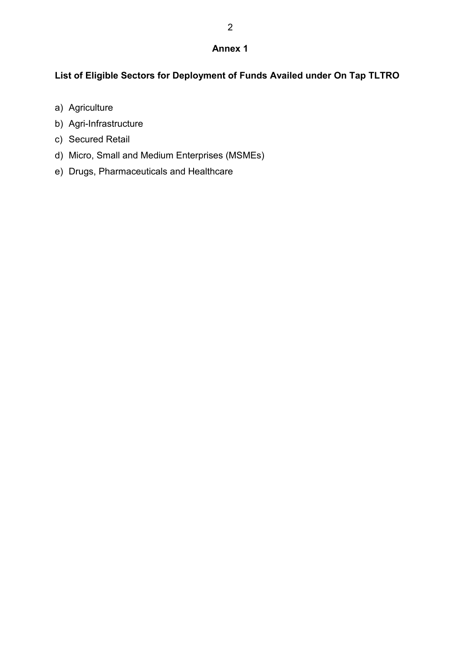#### **Annex 1**

# <span id="page-1-0"></span>**List of Eligible Sectors for Deployment of Funds Availed under On Tap TLTRO**

- a) Agriculture
- b) Agri-Infrastructure
- c) Secured Retail
- d) Micro, Small and Medium Enterprises (MSMEs)
- e) Drugs, Pharmaceuticals and Healthcare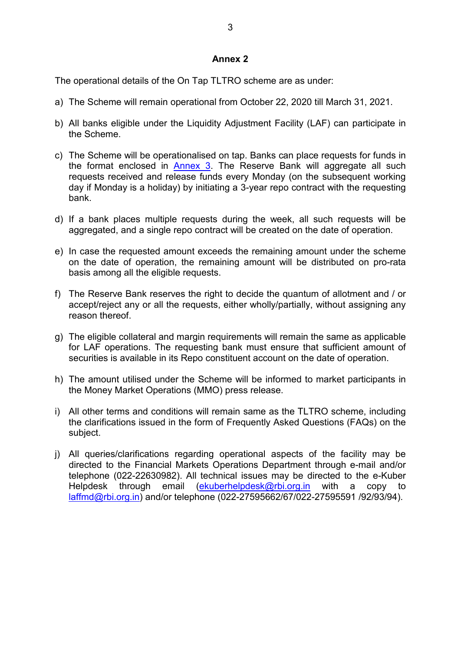#### **Annex 2**

<span id="page-2-0"></span>The operational details of the On Tap TLTRO scheme are as under:

- a) The Scheme will remain operational from October 22, 2020 till March 31, 2021.
- b) All banks eligible under the Liquidity Adjustment Facility (LAF) can participate in the Scheme.
- c) The Scheme will be operationalised on tap. Banks can place requests for funds in the format enclosed in [Annex 3.](#page-3-0) The Reserve Bank will aggregate all such requests received and release funds every Monday (on the subsequent working day if Monday is a holiday) by initiating a 3-year repo contract with the requesting bank.
- d) If a bank places multiple requests during the week, all such requests will be aggregated, and a single repo contract will be created on the date of operation.
- e) In case the requested amount exceeds the remaining amount under the scheme on the date of operation, the remaining amount will be distributed on pro-rata basis among all the eligible requests.
- f) The Reserve Bank reserves the right to decide the quantum of allotment and / or accept/reject any or all the requests, either wholly/partially, without assigning any reason thereof.
- g) The eligible collateral and margin requirements will remain the same as applicable for LAF operations. The requesting bank must ensure that sufficient amount of securities is available in its Repo constituent account on the date of operation.
- h) The amount utilised under the Scheme will be informed to market participants in the Money Market Operations (MMO) press release.
- i) All other terms and conditions will remain same as the TLTRO scheme, including the clarifications issued in the form of Frequently Asked Questions (FAQs) on the subject.
- j) All queries/clarifications regarding operational aspects of the facility may be directed to the Financial Markets Operations Department through e-mail and/or telephone (022-22630982). All technical issues may be directed to the e-Kuber Helpdesk through email [\(ekuberhelpdesk@rbi.org.in](mailto:ekuberhelpdesk@rbi.org.in) with a copy to [laffmd@rbi.org.in\)](mailto:laffmd@rbi.org.in) and/or telephone (022-27595662/67/022-27595591 /92/93/94).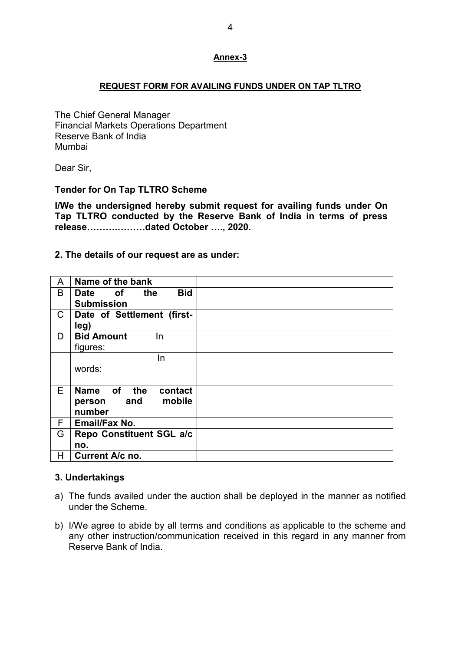#### <span id="page-3-0"></span>**REQUEST FORM FOR AVAILING FUNDS UNDER ON TAP TLTRO**

The Chief General Manager Financial Markets Operations Department Reserve Bank of India Mumbai

Dear Sir,

## **Tender for On Tap TLTRO Scheme**

**I/We the undersigned hereby submit request for availing funds under On Tap TLTRO conducted by the Reserve Bank of India in terms of press release……….………dated October …., 2020.**

## **2. The details of our request are as under:**

| A  | Name of the bank                |  |
|----|---------------------------------|--|
| B  | <b>Bid</b><br>the<br>Date<br>0f |  |
|    | <b>Submission</b>               |  |
| C  | Date of Settlement (first-      |  |
|    | leg)                            |  |
| D  | <b>Bid Amount</b><br>In.        |  |
|    | figures:                        |  |
|    | In                              |  |
|    | words:                          |  |
|    |                                 |  |
| E. | Name of the<br>contact          |  |
|    | mobile<br>and<br>person         |  |
|    | number                          |  |
| F  | <b>Email/Fax No.</b>            |  |
| G  | Repo Constituent SGL a/c        |  |
|    | no.                             |  |
| H  | Current A/c no.                 |  |
|    |                                 |  |

## **3. Undertakings**

- a) The funds availed under the auction shall be deployed in the manner as notified under the Scheme.
- b) I/We agree to abide by all terms and conditions as applicable to the scheme and any other instruction/communication received in this regard in any manner from Reserve Bank of India.